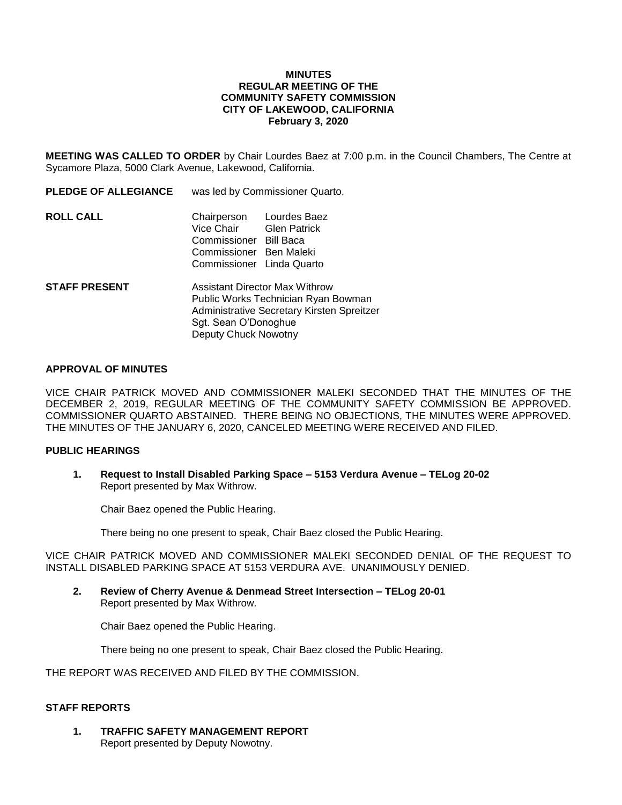### **MINUTES REGULAR MEETING OF THE COMMUNITY SAFETY COMMISSION CITY OF LAKEWOOD, CALIFORNIA February 3, 2020**

**MEETING WAS CALLED TO ORDER** by Chair Lourdes Baez at 7:00 p.m. in the Council Chambers, The Centre at Sycamore Plaza, 5000 Clark Avenue, Lakewood, California.

| <b>PLEDGE OF ALLEGIANCE</b> | was led by Commissioner Quarto.                                                                           |                          |
|-----------------------------|-----------------------------------------------------------------------------------------------------------|--------------------------|
| <b>ROLL CALL</b>            | Vice Chair Glen Patrick<br>Commissioner Bill Baca<br>Commissioner Ben Maleki<br>Commissioner Linda Quarto | Chairperson Lourdes Baez |
| <b>STAFF PRESENT</b>        | <b>Assistant Director Max Withrow</b><br>Public Works Technician Ryan Bowman                              |                          |

Administrative Secretary Kirsten Spreitzer Sgt. Sean O'Donoghue Deputy Chuck Nowotny

### **APPROVAL OF MINUTES**

VICE CHAIR PATRICK MOVED AND COMMISSIONER MALEKI SECONDED THAT THE MINUTES OF THE DECEMBER 2, 2019, REGULAR MEETING OF THE COMMUNITY SAFETY COMMISSION BE APPROVED. COMMISSIONER QUARTO ABSTAINED. THERE BEING NO OBJECTIONS, THE MINUTES WERE APPROVED. THE MINUTES OF THE JANUARY 6, 2020, CANCELED MEETING WERE RECEIVED AND FILED.

### **PUBLIC HEARINGS**

**1. Request to Install Disabled Parking Space – 5153 Verdura Avenue – TELog 20-02** Report presented by Max Withrow.

Chair Baez opened the Public Hearing.

There being no one present to speak, Chair Baez closed the Public Hearing.

VICE CHAIR PATRICK MOVED AND COMMISSIONER MALEKI SECONDED DENIAL OF THE REQUEST TO INSTALL DISABLED PARKING SPACE AT 5153 VERDURA AVE. UNANIMOUSLY DENIED.

**2. Review of Cherry Avenue & Denmead Street Intersection – TELog 20-01** Report presented by Max Withrow.

Chair Baez opened the Public Hearing.

There being no one present to speak, Chair Baez closed the Public Hearing.

THE REPORT WAS RECEIVED AND FILED BY THE COMMISSION.

# **STAFF REPORTS**

**1. TRAFFIC SAFETY MANAGEMENT REPORT** Report presented by Deputy Nowotny.